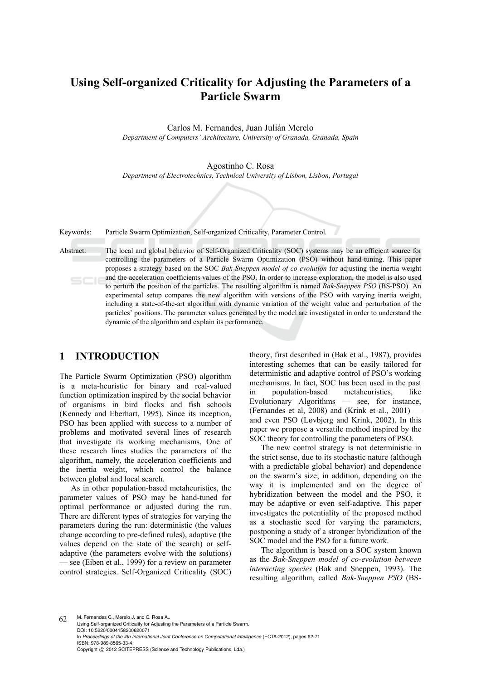# **Using Self-organized Criticality for Adjusting the Parameters of a Particle Swarm**

Carlos M. Fernandes, Juan Julián Merelo *Department of Computers' Architecture, University of Granada, Granada, Spain* 

Agostinho C. Rosa

*Department of Electrotechnics, Technical University of Lisbon, Lisbon, Portugal* 

Keywords: Particle Swarm Optimization, Self-organized Criticality, Parameter Control.

Abstract: The local and global behavior of Self-Organized Criticality (SOC) systems may be an efficient source for controlling the parameters of a Particle Swarm Optimization (PSO) without hand-tuning. This paper proposes a strategy based on the SOC *Bak-Sneppen model of co-evolution* for adjusting the inertia weight and the acceleration coefficients values of the PSO. In order to increase exploration, the model is also used to perturb the position of the particles. The resulting algorithm is named *Bak-Sneppen PSO* (BS-PSO). An experimental setup compares the new algorithm with versions of the PSO with varying inertia weight, including a state-of-the-art algorithm with dynamic variation of the weight value and perturbation of the particles' positions. The parameter values generated by the model are investigated in order to understand the dynamic of the algorithm and explain its performance.

## **1 INTRODUCTION**

The Particle Swarm Optimization (PSO) algorithm is a meta-heuristic for binary and real-valued function optimization inspired by the social behavior of organisms in bird flocks and fish schools (Kennedy and Eberhart, 1995). Since its inception, PSO has been applied with success to a number of problems and motivated several lines of research that investigate its working mechanisms. One of these research lines studies the parameters of the algorithm, namely, the acceleration coefficients and the inertia weight, which control the balance between global and local search.

As in other population-based metaheuristics, the parameter values of PSO may be hand-tuned for optimal performance or adjusted during the run. There are different types of strategies for varying the parameters during the run: deterministic (the values change according to pre-defined rules), adaptive (the values depend on the state of the search) or selfadaptive (the parameters evolve with the solutions) — see (Eiben et al., 1999) for a review on parameter control strategies. Self-Organized Criticality (SOC)

theory, first described in (Bak et al., 1987), provides interesting schemes that can be easily tailored for deterministic and adaptive control of PSO's working mechanisms. In fact, SOC has been used in the past in population-based metaheuristics, like Evolutionary Algorithms — see, for instance, (Fernandes et al, 2008) and (Krink et al., 2001) and even PSO (Løvbjerg and Krink, 2002). In this paper we propose a versatile method inspired by the SOC theory for controlling the parameters of PSO.

The new control strategy is not deterministic in the strict sense, due to its stochastic nature (although with a predictable global behavior) and dependence on the swarm's size; in addition, depending on the way it is implemented and on the degree of hybridization between the model and the PSO, it may be adaptive or even self-adaptive. This paper investigates the potentiality of the proposed method as a stochastic seed for varying the parameters, postponing a study of a stronger hybridization of the SOC model and the PSO for a future work.

The algorithm is based on a SOC system known as the *Bak-Sneppen model of co-evolution between interacting species* (Bak and Sneppen, 1993). The resulting algorithm, called *Bak-Sneppen PSO* (BS-

62 M. Fernandes C., Merelo J. and C. Rosa A.. Using Self-organized Criticality for Adjusting the Parameters of a Particle Swarm. DOI: 10.5220/0004158200620071 In *Proceedings of the 4th International Joint Conference on Computational Intelligence* (ECTA-2012), pages 62-71 ISBN: 978-989-8565-33-4 Copyright © 2012 SCITEPRESS (Science and Technology Publications, Lda.)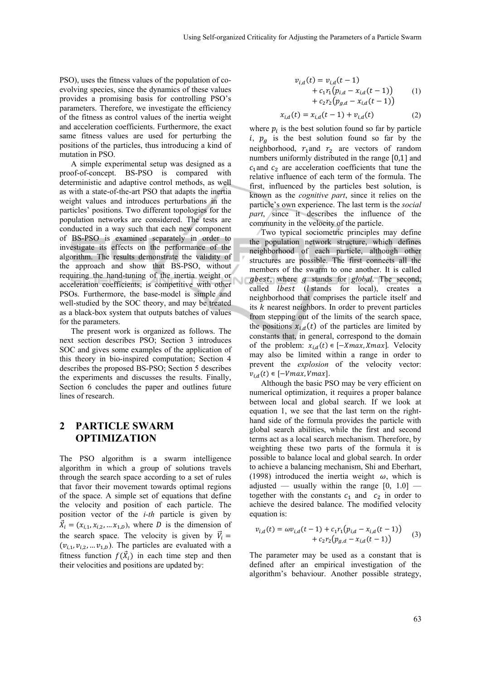PSO), uses the fitness values of the population of coevolving species, since the dynamics of these values provides a promising basis for controlling PSO's parameters. Therefore, we investigate the efficiency of the fitness as control values of the inertia weight and acceleration coefficients. Furthermore, the exact same fitness values are used for perturbing the positions of the particles, thus introducing a kind of mutation in PSO.

A simple experimental setup was designed as a proof-of-concept. BS-PSO is compared with deterministic and adaptive control methods, as well as with a state-of-the-art PSO that adapts the inertia weight values and introduces perturbations in the particles' positions. Two different topologies for the population networks are considered. The tests are conducted in a way such that each new component of BS-PSO is examined separately in order to investigate its effects on the performance of the algorithm. The results demonstrate the validity of the approach and show that BS-PSO, without requiring the hand-tuning of the inertia weight or acceleration coefficients, is competitive with other PSOs. Furthermore, the base-model is simple and well-studied by the SOC theory, and may be treated as a black-box system that outputs batches of values for the parameters.

The present work is organized as follows. The next section describes PSO; Section 3 introduces SOC and gives some examples of the application of this theory in bio-inspired computation; Section 4 describes the proposed BS-PSO; Section 5 describes the experiments and discusses the results. Finally, Section 6 concludes the paper and outlines future lines of research.

## **2 PARTICLE SWARM OPTIMIZATION**

The PSO algorithm is a swarm intelligence algorithm in which a group of solutions travels through the search space according to a set of rules that favor their movement towards optimal regions of the space. A simple set of equations that define the velocity and position of each particle. The position vector of the *i-th* particle is given by  $\vec{X}_i = (x_{i,1}, x_{i,2}, \dots, x_{1,D})$ , where D is the dimension of the search space. The velocity is given by  $\vec{V}_i$  =  $(v_{i,1}, v_{i,2}, \ldots v_{1,D})$ . The particles are evaluated with a fitness function  $f(\vec{X}_i)$  in each time step and then their velocities and positions are updated by:

$$
v_{i,d}(t) = v_{i,d}(t-1) + c_1 r_1 (p_{i,d} - x_{i,d}(t-1)) + c_2 r_2 (p_{g,d} - x_{i,d}(t-1))
$$
 (1)

$$
x_{i,d}(t) = x_{i,d}(t-1) + v_{i,d}(t)
$$
 (2)

where  $p_i$  is the best solution found so far by particle  $i, p_a$  is the best solution found so far by the neighborhood,  $r_1$  and  $r_2$  are vectors of random numbers uniformly distributed in the range  $[0,1]$  and  $c_1$  and  $c_2$  are acceleration coefficients that tune the relative influence of each term of the formula. The first, influenced by the particles best solution, is known as the *cognitive part*, since it relies on the particle's own experience. The last term is the *social part*, since it describes the influence of the community in the velocity of the particle.

Two typical sociometric principles may define the population network structure, which defines neighborhood of each particle, although other structures are possible. The first connects all the members of the swarm to one another. It is called *gbest*, where *g* stands for *global*. The second, called *lbest* (*l* stands for local), creates a neighborhood that comprises the particle itself and its  $k$  nearest neighbors. In order to prevent particles from stepping out of the limits of the search space, the positions  $x_{i,d}(t)$  of the particles are limited by constants that, in general, correspond to the domain of the problem:  $x_{i,d}(t) \in [-Xmax, Xmax]$ . Velocity may also be limited within a range in order to prevent the *explosion* of the velocity vector:  $v_{i,d}(t) \in [-Vmax, Vmax]$ .

Although the basic PSO may be very efficient on numerical optimization, it requires a proper balance between local and global search. If we look at equation 1, we see that the last term on the righthand side of the formula provides the particle with global search abilities, while the first and second terms act as a local search mechanism. Therefore, by weighting these two parts of the formula it is possible to balance local and global search. In order to achieve a balancing mechanism, Shi and Eberhart, (1998) introduced the inertia weight  $\omega$ , which is adjusted — usually within the range  $[0, 1.0]$  together with the constants  $c_1$  and  $c_2$  in order to achieve the desired balance. The modified velocity equation is:

$$
v_{i,d}(t) = \omega v_{i,d}(t-1) + c_1 r_1 (p_{i,d} - x_{i,d}(t-1)) + c_2 r_2 (p_{g,d} - x_{i,d}(t-1))
$$
 (3)

The parameter may be used as a constant that is defined after an empirical investigation of the algorithm's behaviour. Another possible strategy,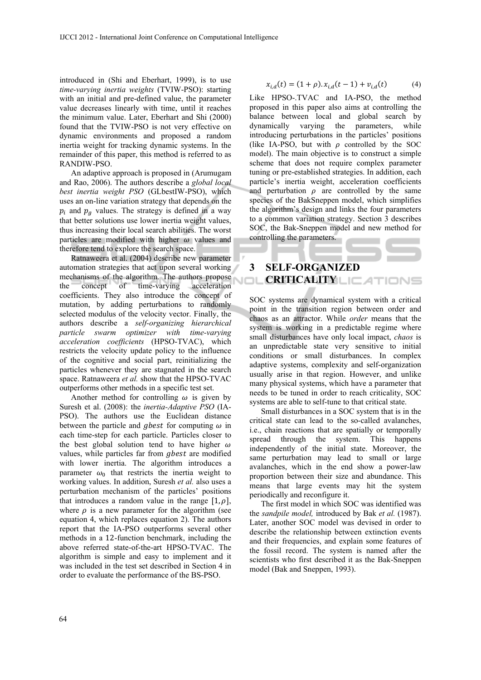introduced in (Shi and Eberhart, 1999), is to use *time-varying inertia weights* (TVIW-PSO): starting with an initial and pre-defined value, the parameter value decreases linearly with time, until it reaches the minimum value. Later, Eberhart and Shi (2000) found that the TVIW-PSO is not very effective on dynamic environments and proposed a random inertia weight for tracking dynamic systems. In the remainder of this paper, this method is referred to as RANDIW-PSO.

An adaptive approach is proposed in (Arumugam and Rao, 2006). The authors describe a *global local best inertia weight PSO* (GLbestIW-PSO), which uses an on-line variation strategy that depends on the  $p_i$  and  $p_a$  values. The strategy is defined in a way that better solutions use lower inertia weight values, thus increasing their local search abilities. The worst particles are modified with higher  $\omega$  values and therefore tend to explore the search space.

Ratnaweera et al. (2004) describe new parameter automation strategies that act upon several working mechanisms of the algorithm. The authors propose the concept of time-varying acceleration coefficients. They also introduce the concept of mutation, by adding perturbations to randomly selected modulus of the velocity vector. Finally, the authors describe a *self-organizing hierarchical particle swarm optimizer with time-varying acceleration coefficients* (HPSO-TVAC), which restricts the velocity update policy to the influence of the cognitive and social part, reinitializing the particles whenever they are stagnated in the search space. Ratnaweera *et al.* show that the HPSO-TVAC outperforms other methods in a specific test set.

Another method for controlling  $\omega$  is given by Suresh et al. (2008): the *inertia-Adaptive PSO* (IA-PSO). The authors use the Euclidean distance between the particle and *gbest* for computing  $\omega$  in each time-step for each particle. Particles closer to the best global solution tend to have higher  $\omega$ values, while particles far from *gbest* are modified with lower inertia. The algorithm introduces a parameter  $\omega_0$  that restricts the inertia weight to working values. In addition, Suresh *et al.* also uses a perturbation mechanism of the particles' positions that introduces a random value in the range  $[1, \rho]$ , where  $\rho$  is a new parameter for the algorithm (see equation 4, which replaces equation 2). The authors report that the IA-PSO outperforms several other methods in a 12-function benchmark, including the above referred state-of-the-art HPSO-TVAC. The algorithm is simple and easy to implement and it was included in the test set described in Section 4 in order to evaluate the performance of the BS-PSO.

$$
x_{i,d}(t) = (1+\rho) \cdot x_{i,d}(t-1) + v_{i,d}(t) \tag{4}
$$

Like HPSO-.TVAC and IA-PSO, the method proposed in this paper also aims at controlling the balance between local and global search by dynamically varying the parameters, while introducing perturbations in the particles' positions (like IA-PSO, but with  $\rho$  controlled by the SOC model). The main objective is to construct a simple scheme that does not require complex parameter tuning or pre-established strategies. In addition, each particle's inertia weight, acceleration coefficients and perturbation  $\rho$  are controlled by the same species of the BakSneppen model, which simplifies the algorithm's design and links the four parameters to a common variation strategy. Section 3 describes SOC, the Bak-Sneppen model and new method for controlling the parameters.

## **3 SELF-ORGANIZED CRITICALITY**

SOC systems are dynamical system with a critical point in the transition region between order and chaos as an attractor. While *order* means that the system is working in a predictable regime where small disturbances have only local impact, *chaos* is an unpredictable state very sensitive to initial conditions or small disturbances. In complex adaptive systems, complexity and self-organization usually arise in that region. However, and unlike many physical systems, which have a parameter that needs to be tuned in order to reach criticality, SOC systems are able to self-tune to that critical state.

Small disturbances in a SOC system that is in the critical state can lead to the so-called avalanches, i.e., chain reactions that are spatially or temporally spread through the system. This happens independently of the initial state. Moreover, the same perturbation may lead to small or large avalanches, which in the end show a power-law proportion between their size and abundance. This means that large events may hit the system periodically and reconfigure it.

The first model in which SOC was identified was the *sandpile model,* introduced by Bak *et al.* (1987). Later, another SOC model was devised in order to describe the relationship between extinction events and their frequencies, and explain some features of the fossil record. The system is named after the scientists who first described it as the Bak-Sneppen model (Bak and Sneppen, 1993).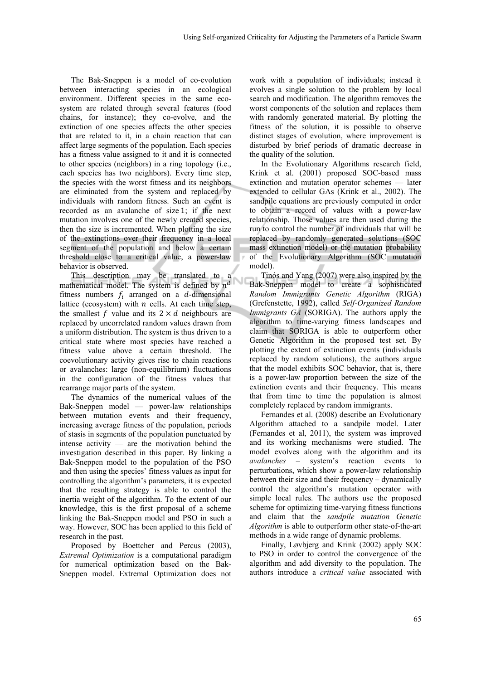The Bak-Sneppen is a model of co-evolution between interacting species in an ecological environment. Different species in the same ecosystem are related through several features (food chains, for instance); they co-evolve, and the extinction of one species affects the other species that are related to it, in a chain reaction that can affect large segments of the population. Each species has a fitness value assigned to it and it is connected to other species (neighbors) in a ring topology (i.e., each species has two neighbors). Every time step, the species with the worst fitness and its neighbors are eliminated from the system and replaced by individuals with random fitness. Such an event is recorded as an avalanche of size 1; if the next mutation involves one of the newly created species, then the size is incremented. When plotting the size of the extinctions over their frequency in a local segment of the population and below a certain threshold close to a critical value, a power-law behavior is observed.

This description may be translated to a mathematical model. The system is defined by  $n^d$ fitness numbers  $f_i$  arranged on a *d*-dimensional lattice (ecosystem) with  $n$  cells. At each time step, the smallest f value and its  $2 \times d$  neighbours are replaced by uncorrelated random values drawn from a uniform distribution. The system is thus driven to a critical state where most species have reached a fitness value above a certain threshold. The coevolutionary activity gives rise to chain reactions or avalanches: large (non-equilibrium) fluctuations in the configuration of the fitness values that rearrange major parts of the system.

The dynamics of the numerical values of the Bak-Sneppen model — power-law relationships between mutation events and their frequency, increasing average fitness of the population, periods of stasis in segments of the population punctuated by intense activity — are the motivation behind the investigation described in this paper. By linking a Bak-Sneppen model to the population of the PSO and then using the species' fitness values as input for controlling the algorithm's parameters, it is expected that the resulting strategy is able to control the inertia weight of the algorithm. To the extent of our knowledge, this is the first proposal of a scheme linking the Bak-Sneppen model and PSO in such a way. However, SOC has been applied to this field of research in the past.

Proposed by Boettcher and Percus (2003), *Extremal Optimization* is a computational paradigm for numerical optimization based on the Bak-Sneppen model. Extremal Optimization does not

work with a population of individuals; instead it evolves a single solution to the problem by local search and modification. The algorithm removes the worst components of the solution and replaces them with randomly generated material. By plotting the fitness of the solution, it is possible to observe distinct stages of evolution, where improvement is disturbed by brief periods of dramatic decrease in the quality of the solution.

In the Evolutionary Algorithms research field, Krink et al. (2001) proposed SOC-based mass extinction and mutation operator schemes — later extended to cellular GAs (Krink et al., 2002). The sandpile equations are previously computed in order to obtain a record of values with a power-law relationship. Those values are then used during the run to control the number of individuals that will be replaced by randomly generated solutions (SOC mass extinction model) or the mutation probability of the Evolutionary Algorithm (SOC mutation model).

Tinós and Yang (2007) were also inspired by the Bak-Sneppen model to create a sophisticated *Random Immigrants Genetic Algorithm* (RIGA) (Grefenstette, 1992), called *Self-Organized Random Immigrants GA* (SORIGA). The authors apply the algorithm to time-varying fitness landscapes and claim that SORIGA is able to outperform other Genetic Algorithm in the proposed test set. By plotting the extent of extinction events (individuals replaced by random solutions), the authors argue that the model exhibits SOC behavior, that is, there is a power-law proportion between the size of the extinction events and their frequency. This means that from time to time the population is almost completely replaced by random immigrants.

Fernandes et al. (2008) describe an Evolutionary Algorithm attached to a sandpile model. Later (Fernandes et al, 2011), the system was improved and its working mechanisms were studied. The model evolves along with the algorithm and its *avalanches* – system's reaction events to perturbations, which show a power-law relationship between their size and their frequency – dynamically control the algorithm's mutation operator with simple local rules. The authors use the proposed scheme for optimizing time-varying fitness functions and claim that the *sandpile mutation Genetic Algorithm* is able to outperform other state-of-the-art methods in a wide range of dynamic problems.

Finally, Løvbjerg and Krink (2002) apply SOC to PSO in order to control the convergence of the algorithm and add diversity to the population. The authors introduce a *critical value* associated with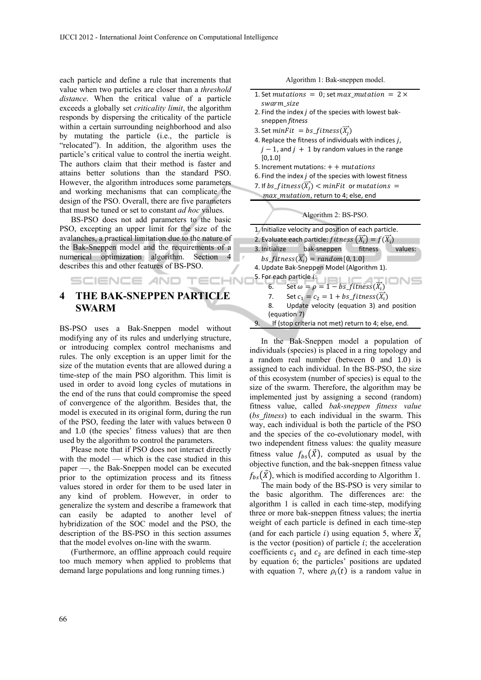each particle and define a rule that increments that value when two particles are closer than a *threshold distance*. When the critical value of a particle exceeds a globally set *criticality limit*, the algorithm responds by dispersing the criticality of the particle within a certain surrounding neighborhood and also by mutating the particle (i.e., the particle is "relocated"). In addition, the algorithm uses the particle's critical value to control the inertia weight. The authors claim that their method is faster and attains better solutions than the standard PSO. However, the algorithm introduces some parameters and working mechanisms that can complicate the design of the PSO. Overall, there are five parameters that must be tuned or set to constant *ad hoc* values.

BS-PSO does not add parameters to the basic PSO, excepting an upper limit for the size of the avalanches, a practical limitation due to the nature of the Bak-Sneppen model and the requirements of a numerical optimization algorithm. Section 4 describes this and other features of BS-PSO.

# **4 THE BAK-SNEPPEN PARTICLE SWARM**

SCIENCE AND TED

**IHNO** 

BS-PSO uses a Bak-Sneppen model without modifying any of its rules and underlying structure, or introducing complex control mechanisms and rules. The only exception is an upper limit for the size of the mutation events that are allowed during a time-step of the main PSO algorithm. This limit is used in order to avoid long cycles of mutations in the end of the runs that could compromise the speed of convergence of the algorithm. Besides that, the model is executed in its original form, during the run of the PSO, feeding the later with values between 0 and 1.0 (the species' fitness values) that are then used by the algorithm to control the parameters.

Please note that if PSO does not interact directly with the model — which is the case studied in this paper —, the Bak-Sneppen model can be executed prior to the optimization process and its fitness values stored in order for them to be used later in any kind of problem. However, in order to generalize the system and describe a framework that can easily be adapted to another level of hybridization of the SOC model and the PSO, the description of the BS-PSO in this section assumes that the model evolves on-line with the swarm.

(Furthermore, an offline approach could require too much memory when applied to problems that demand large populations and long running times.)

Algorithm 1: Bak-sneppen model.

1. Set mutations = 0; set max\_mutation = 
$$
2 \times
$$
  
swarm\_size

- 2. Find the index  $j$  of the species with lowest baksneppen *fitness*
- 3. Set  $minFit = bs_fitness(\overrightarrow{X_i})$
- 4. Replace the fitness of individuals with indices  $j$ ,  $j-1$ , and  $j+1$  by random values in the range [0,1.0]
- 5. Increment mutations:  $++$  mutations
- 6. Find the index  $j$  of the species with lowest fitness
- 7. If  $bs\_fitness(\vec{X}_i)$  < minFit or mutations =
- max\_mutation, return to 4; else, end

#### Algorithm 2: BS-PSO.

| 1. Initialize velocity and position of each particle.                                |                                                             |                |         |  |  |  |  |
|--------------------------------------------------------------------------------------|-------------------------------------------------------------|----------------|---------|--|--|--|--|
| 2. Evaluate each particle: $fitness(\overrightarrow{X_i}) = f(\overrightarrow{X_i})$ |                                                             |                |         |  |  |  |  |
| 3. Initialize                                                                        | bak-sneppen                                                 | <b>ditions</b> | values: |  |  |  |  |
|                                                                                      | bs_fitness $(\overrightarrow{X_i})$ = random[0,1.0]         |                |         |  |  |  |  |
|                                                                                      | 4. Update Bak-Sneppen Model (Algorithm 1).                  |                |         |  |  |  |  |
|                                                                                      | 5. For each particle i:                                     |                |         |  |  |  |  |
| 6.                                                                                   | Set $\omega = \rho = 1 - bs\_fitness(\overrightarrow{X_i})$ |                |         |  |  |  |  |
| 7.                                                                                   | Set $c_1 = c_2 = 1 + bs\_fitness(\overrightarrow{X_i})$     |                |         |  |  |  |  |
| 8.                                                                                   | Update velocity (equation 3) and position                   |                |         |  |  |  |  |
|                                                                                      | (equation 7)                                                |                |         |  |  |  |  |
| 9.                                                                                   | If (stop criteria not met) return to 4; else, end.          |                |         |  |  |  |  |

In the Bak-Sneppen model a population of

individuals (species) is placed in a ring topology and a random real number (between 0 and 1.0) is assigned to each individual. In the BS-PSO, the size of this ecosystem (number of species) is equal to the size of the swarm. Therefore, the algorithm may be implemented just by assigning a second (random) fitness value, called *bak-sneppen fitness value*  (*bs\_fitness*) to each individual in the swarm. This way, each individual is both the particle of the PSO and the species of the co-evolutionary model, with two independent fitness values: the quality measure fitness value  $f_{bs}(\vec{X})$ , computed as usual by the objective function, and the bak-sneppen fitness value  $f_{bs}(\vec{X})$ , which is modified according to Algorithm 1.

The main body of the BS-PSO is very similar to the basic algorithm. The differences are: the algorithm 1 is called in each time-step, modifying three or more bak-sneppen fitness values; the inertia weight of each particle is defined in each time-step (and for each particle *i*) using equation 5, where  $\overline{X_i}$ is the vector (position) of particle  $i$ ; the acceleration coefficients  $c_1$  and  $c_2$  are defined in each time-step by equation 6; the particles' positions are updated with equation 7, where  $\rho_i(t)$  is a random value in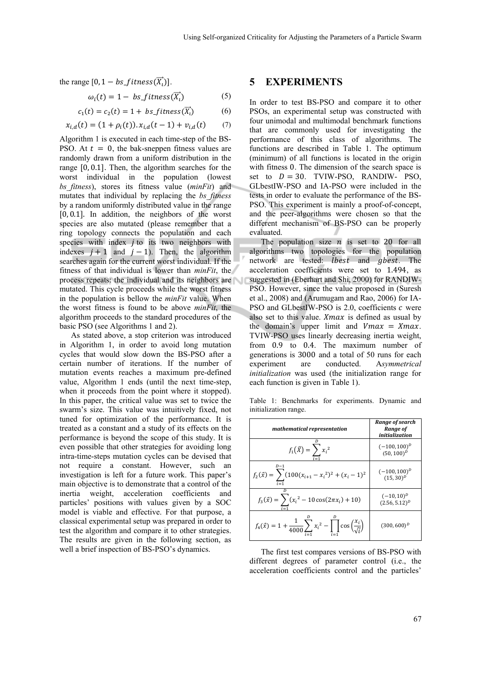the range  $[0, 1 - bs\_fitness(\overline{X}_i)].$ 

$$
\omega_i(t) = 1 - bs\_fitness(\overrightarrow{X_i})
$$
 (5)

$$
c_1(t) = c_2(t) = 1 + bs\_fitness(\overrightarrow{X}_i)
$$
 (6)

$$
x_{i,d}(t) = (1 + \rho_i(t)). x_{i,d}(t - 1) + v_{i,d}(t) \tag{7}
$$

Algorithm 1 is executed in each time-step of the BS-PSO. At  $t = 0$ , the bak-sneppen fitness values are randomly drawn from a uniform distribution in the range  $[0, 0.1]$ . Then, the algorithm searches for the worst individual in the population (lowest *bs\_fitness*), stores its fitness value (*minFit*) and mutates that individual by replacing the *bs\_fitness*  by a random uniformly distributed value in the range  $[0, 0.1]$ . In addition, the neighbors of the worst species are also mutated (please remember that a ring topology connects the population and each species with index  $j$  to its two neighbors with indexes  $j + 1$  and  $j - 1$ ). Then, the algorithm searches again for the current worst individual. If the fitness of that individual is lower than *minFit*, the process repeats: the individual and its neighbors are mutated. This cycle proceeds while the worst fitness in the population is bellow the *minFit* value. When the worst fitness is found to be above *minFit*, the algorithm proceeds to the standard procedures of the basic PSO (see Algorithms 1 and 2).

As stated above, a stop criterion was introduced in Algorithm 1, in order to avoid long mutation cycles that would slow down the BS-PSO after a certain number of iterations. If the number of mutation events reaches a maximum pre-defined value, Algorithm 1 ends (until the next time-step, when it proceeds from the point where it stopped). In this paper, the critical value was set to twice the swarm's size. This value was intuitively fixed, not tuned for optimization of the performance. It is treated as a constant and a study of its effects on the performance is beyond the scope of this study. It is even possible that other strategies for avoiding long intra-time-steps mutation cycles can be devised that not require a constant. However, such an investigation is left for a future work. This paper's main objective is to demonstrate that a control of the inertia weight, acceleration coefficients and particles' positions with values given by a SOC model is viable and effective. For that purpose, a classical experimental setup was prepared in order to test the algorithm and compare it to other strategies. The results are given in the following section, as well a brief inspection of BS-PSO's dynamics.

## **5 EXPERIMENTS**

In order to test BS-PSO and compare it to other PSOs, an experimental setup was constructed with four unimodal and multimodal benchmark functions that are commonly used for investigating the performance of this class of algorithms. The functions are described in Table 1. The optimum (minimum) of all functions is located in the origin with fitness 0. The dimension of the search space is set to  $D = 30$ . TVIW-PSO, RANDIW- PSO, GLbestIW-PSO and IA-PSO were included in the tests in order to evaluate the performance of the BS-PSO. This experiment is mainly a proof-of-concept, and the peer-algorithms were chosen so that the different mechanism of BS-PSO can be properly evaluated.

The population size  $n$  is set to 20 for all algorithms two topologies for the population network are tested: *lbest* and *gbest*. The acceleration coefficients were set to 1.494, as suggested in (Eberhart and Shi, 2000) for RANDIW-PSO. However, since the value proposed in (Suresh et al., 2008) and (Arumugam and Rao, 2006) for IA-PSO and GLbestIW-PSO is  $2.0$ , coefficients  $c$  were also set to this value.  $Xmax$  is defined as usual by the domain's upper limit and  $V$ *max* =  $X$ *max*. TVIW-PSO uses linearly decreasing inertia weight, from 0.9 to 0.4. The maximum number of generations is 3000 and a total of 50 runs for each experiment are conducted. A*symmetrical initialization* was used (the initialization range for each function is given in Table 1).

Table 1: Benchmarks for experiments. Dynamic and initialization range.

| mathematical representation                                                                                                   | Range of search<br>Range of<br>initialization |
|-------------------------------------------------------------------------------------------------------------------------------|-----------------------------------------------|
| $f_1(\vec{X}) = \sum x_i^2$                                                                                                   | $(-100, 100)^{D}$<br>$(50, 100)^{D}$          |
| $D-1$<br>$f_2(\vec{x}) = \sum (100(x_{i+1} - x_i{}^2)^2 + (x_i - 1)^2$                                                        | $(-100, 100)^{D}$<br>$(15, 30)^{D}$           |
| $f_3(\vec{x}) = \sum_{i} (x_i^2 - 10 \cos(2\pi x_i) + 10)$                                                                    | $(-10, 10)^{D}$<br>$(2.56, 5.12)^{D}$         |
| $f_4(\vec{x}) = 1 + \frac{1}{4000} \sum_{i=1}^{\infty} x_i^2 - \prod_{i=1}^{\infty} \cos \left( \frac{x_i}{\sqrt{i}} \right)$ | $(300, 600)^{D}$                              |

The first test compares versions of BS-PSO with different degrees of parameter control (i.e., the acceleration coefficients control and the particles'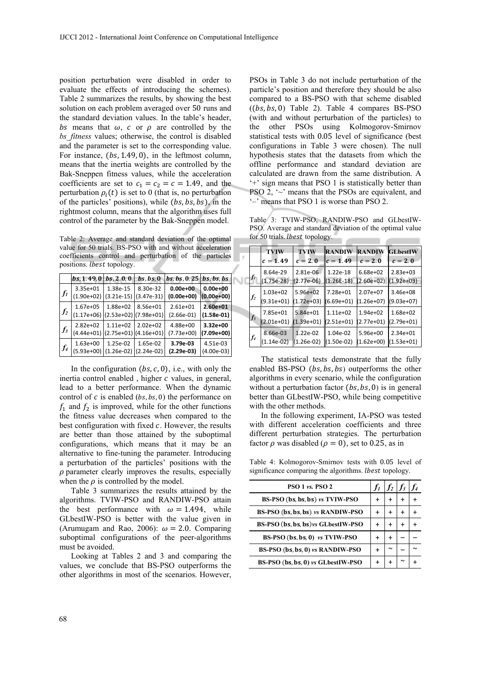position perturbation were disabled in order to evaluate the effects of introducing the schemes). Table 2 summarizes the results, by showing the best solution on each problem averaged over 50 runs and the standard deviation values. In the table's header, bs means that  $\omega$ , c or  $\rho$  are controlled by the *bs\_fitness* values; otherwise, the control is disabled and the parameter is set to the corresponding value. For instance,  $(bs, 1.49, 0)$ , in the leftmost column, means that the inertia weights are controlled by the Bak-Sneppen fitness values, while the acceleration coefficients are set to  $c_1 = c_2 = c = 1.49$ , and the perturbation  $\rho_i(t)$  is set to 0 (that is, no perturbation of the particles' positions), while  $(bs, bs, bs)$ , in the rightmost column, means that the algorithm uses full control of the parameter by the Bak-Sneppen model.

Table 2: Average and standard deviation of the optimal value for 50 trials. BS-PSO with and without acceleration coefficients control and perturbation of the particles positions. *lbest* topology.

| $bs, 1.49, 0 \, bs, 2.0, 0$<br>$ bs, bs, 0.25 $ bs, bs, bs<br>bs, bs, 0<br>$3.35e+01$<br>8.30e-32<br>$0.00e + 00$<br>$0.00e + 00$<br>1.38e-15<br>$f_I$<br>$(1.90e+02)$<br>$(3.21e-15)$<br>$(3.47e-31)$<br>$(0.00e+00)$<br>$2.60e + 01$<br>$1.67e+05$<br>$1.88e+02$<br>$8.56e + 01$<br>$2.61e+01$<br>$f_2$<br>$(1.17e+06)$ $(2.53e+02)$ (7.98e+01)<br>$(2.66e-01)$<br>$2.82e+02$<br>$4.88e+00$<br>$3.32e+00$<br>$1.11e+02$<br>$2.02e+02$<br>$f_3$<br>$(4.44e+01)$ $(2.75e+01)$ $(4.16e+01)$<br>$(7.73e+00)$<br>$1.25e-02$<br>$1.63e+00$<br>$1.65e-02$<br>3.79e-03<br>4.51e-03<br>$f_4$<br>$(5.93e+00)$<br>$(2.24e-02)$<br>$(1.26e-02)$<br>(2.29e-03) |  |  |              |
|-----------------------------------------------------------------------------------------------------------------------------------------------------------------------------------------------------------------------------------------------------------------------------------------------------------------------------------------------------------------------------------------------------------------------------------------------------------------------------------------------------------------------------------------------------------------------------------------------------------------------------------------------------|--|--|--------------|
|                                                                                                                                                                                                                                                                                                                                                                                                                                                                                                                                                                                                                                                     |  |  |              |
|                                                                                                                                                                                                                                                                                                                                                                                                                                                                                                                                                                                                                                                     |  |  | $(0.00e+00)$ |
|                                                                                                                                                                                                                                                                                                                                                                                                                                                                                                                                                                                                                                                     |  |  | $(1.58e-01)$ |
|                                                                                                                                                                                                                                                                                                                                                                                                                                                                                                                                                                                                                                                     |  |  | $(7.09e+00)$ |
|                                                                                                                                                                                                                                                                                                                                                                                                                                                                                                                                                                                                                                                     |  |  | $(4.00e-03)$ |

In the configuration  $(bs, c, 0)$ , i.e., with only the inertia control enabled, higher  $c$  values, in general, lead to a better performance. When the dynamic control of  $c$  is enabled ( $bs, bs, 0$ ) the performance on  $f_1$  and  $f_2$  is improved, while for the other functions the fitness value decreases when compared to the best configuration with fixed  $c$ . However, the results are better than those attained by the suboptimal configurations, which means that it may be an alternative to fine-tuning the parameter. Introducing a perturbation of the particles' positions with the  $\rho$  parameter clearly improves the results, especially when the  $\rho$  is controlled by the model.

Table 3 summarizes the results attained by the algorithms. TVIW-PSO and RANDIW-PSO attain the best performance with  $\omega = 1.494$ , while GLbestIW-PSO is better with the value given in (Arumugam and Rao, 2006):  $\omega = 2.0$ . Comparing suboptimal configurations of the peer-algorithms must be avoided.

Looking at Tables 2 and 3 and comparing the values, we conclude that BS-PSO outperforms the other algorithms in most of the scenarios. However, PSOs in Table 3 do not include perturbation of the particle's position and therefore they should be also compared to a BS-PSO with that scheme disabled  $((bs, bs, 0)$  Table 2). Table 4 compares BS-PSO (with and without perturbation of the particles) to the other PSOs using Kolmogorov-Smirnov statistical tests with 0.05 level of significance (best configurations in Table 3 were chosen). The null hypothesis states that the datasets from which the offline performance and standard deviation are calculated are drawn from the same distribution. A '+' sign means that PSO 1 is statistically better than PSO 2,  $\sim$  means that the PSOs are equivalent, and '–' means that PSO 1 is worse than PSO 2.

Table 3: TVIW-PSO, RANDIW-PSO and GLbestIW-PSO. Average and standard deviation of the optimal value for 50 trials. *lbest* topology.

|       | <b>TVIW</b>  | <b>TVIW</b>  | <b>RANDIW</b> | <b>RANDIW</b> | <b>GL</b> bestIW |
|-------|--------------|--------------|---------------|---------------|------------------|
|       | $c = 1.49$   | $c = 2.0$    | $c = 1.49$    | $c = 2.0$     | $c = 2.0$        |
|       | 8.64e-29     | $2.81e-06$   | $1.22e-18$    | $6.68e + 02$  | $2.83e+03$       |
| $f_I$ | $(1.75e-28)$ | $(2.77e-06)$ | $(1.26E-18)$  | $(2.60e+02)$  | $(1.92e+03)$     |
|       | $1.03e+02$   | $5.96e+02$   | 7.28e+01      | $2.07e + 07$  | $3.46e + 08$     |
| $f_2$ | (9.31e+01)   | (1.72e+03)   | $6.69e+01$    | $(1.26e+07)$  | (9.03e+07)       |
|       | 7.85e+01     | 5.84e+01     | $1.11e+02$    | $1.94e+02$    | $1.68e+02$       |
| $f_3$ | $(2.01e+01)$ | $(1.39e+01)$ | (2.51e+01)    | (2.77e+01)    | (2.79e+01)       |
|       | 8.66e-03     | $1.22e-02$   | $1.04e-02$    | $5.96e+00$    | $2.34e+01$       |
| f4    | $(1.14e-02)$ | (1.26e-02)   | $(1.50e-02)$  | (1.62e+00)    | (1.53e+01)       |

The statistical tests demonstrate that the fully enabled BS-PSO  $(hs, bs, bs)$  outperforms the other algorithms in every scenario, while the configuration without a perturbation factor  $(bs, bs, 0)$  is in general better than GLbestIW-PSO, while being competitive with the other methods.

In the following experiment, IA-PSO was tested with different acceleration coefficients and three different perturbation strategies. The perturbation factor  $\rho$  was disabled ( $\rho = 0$ ), set to 0.25, as in

Table 4: Kolmogorov-Smirnov tests with 0.05 level of significance comparing the algorithms. *lbest* topology.

| <b>PSO 1 vs. PSO 2</b>              | I <sub>I</sub> | I <sub>2</sub> | $I_3$  |  |
|-------------------------------------|----------------|----------------|--------|--|
| BS-PSO (bs, bs, bs) vs TVIW-PSO     | $\div$         |                |        |  |
| BS-PSO (bs, bs, bs) vs RANDIW-PSO   | $\div$         | $\div$         |        |  |
| BS-PSO (bs, bs, bs) vs GLbestIW-PSO | $\div$         | +              |        |  |
| BS-PSO (bs, bs, 0) vs TVIW-PSO      | $\div$         | $\ddot{}$      |        |  |
| BS-PSO (bs, bs, 0) vs RANDIW-PSO    | ÷              | $\sim$         |        |  |
| BS-PSO (bs, bs, 0) vs GLbestIW-PSO  |                |                | $\sim$ |  |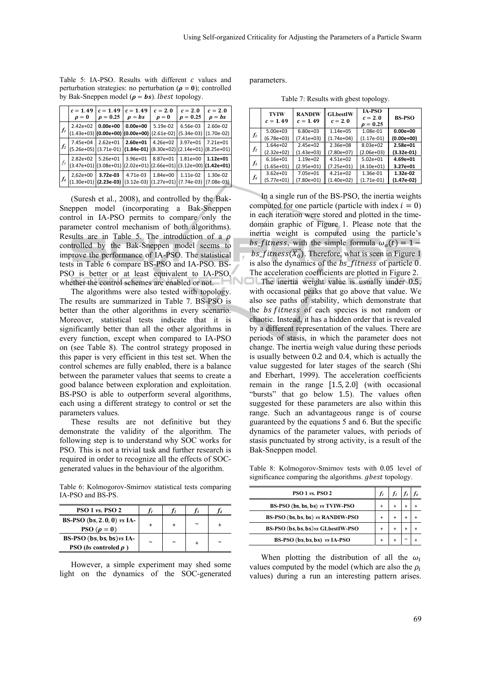|       | $c = 1.49$<br>$\rho = 0$ | $c = 1.49$<br>$\rho = 0.25$                                                                               | $c = 1.49$<br>$\rho = bs$ | $c=2.0$<br>$\rho = 0$ | $c = 2.0$<br>$\rho = 0.25$ | $c = 2.0$<br>$\rho = bs$ |
|-------|--------------------------|-----------------------------------------------------------------------------------------------------------|---------------------------|-----------------------|----------------------------|--------------------------|
| $f_I$ | $2.42e+02$               | $0.00e + 00$<br>$ (1.43e+03) (0.00e+00) (0.00e+00) (2.61e-02)$                                            | $0.00e + 00$              | 5.19e-02              | 6.56e-03<br>$(5.34e-03)$   | 2.60e-02<br>$(1.70e-02)$ |
|       | 7.45e+04                 | $2.62e+01$<br>$\frac{f_2}{f_1}$ (5.26e+05) (3.71e-01) ( <b>1.84e-01)</b> (8.30e+02) (2.14e+01) (8.25e+01) | 2.60e+01                  | $4.26e + 02$          | $3.97e + 01$               | 7.21e+01                 |
| $f_3$ | $2.82e+02$               | $5.26e+01$<br>$(3.47e+01) (3.08e+01) (2.02e+01) (2.66e+01)(3.12e+00) (1.42e+01)$                          | $3.96e + 01$              | 8.87e+01              | $1.81e+00$                 | $1.12e+01$               |
| $f_4$ | $2,62e+00$               | 3.72e-03<br>$(1.30e+01)$ (2.23e-03) (3.12e-03) (1.27e+01) (7.74e-03) (7.08e-03)                           | 4.71e-03                  | 1.84e+00              | 1.11e-02                   | 1.30e-02                 |

Table 5: IA-PSO. Results with different  $c$  values and perturbation strategies: no perturbation ( $\rho = 0$ ); controlled by Bak-Sneppen model ( $\rho = bs$ ). *lbest* topology.

(Suresh et al., 2008), and controlled by the Bak-Sneppen model (incorporating a Bak-Sneppen control in IA-PSO permits to compare only the parameter control mechanism of both algorithms). Results are in Table 5. The introduction of a  $\rho$ controlled by the Bak-Sneppen model seems to improve the performance of IA-PSO. The statistical tests in Table 6 compare BS-PSO and IA-PSO. BS-PSO is better or at least equivalent to IA-PSO, whether the control schemes are enabled or not.

The algorithms were also tested with topology. The results are summarized in Table 7. BS-PSO is better than the other algorithms in every scenario. Moreover, statistical tests indicate that it is significantly better than all the other algorithms in every function, except when compared to IA-PSO on (see Table 8). The control strategy proposed in this paper is very efficient in this test set. When the control schemes are fully enabled, there is a balance between the parameter values that seems to create a good balance between exploration and exploitation. BS-PSO is able to outperform several algorithms, each using a different strategy to control or set the parameters values.

These results are not definitive but they demonstrate the validity of the algorithm. The following step is to understand why SOC works for PSO. This is not a trivial task and further research is required in order to recognize all the effects of SOCgenerated values in the behaviour of the algorithm.

Table 6: Kolmogorov-Smirnov statistical tests comparing IA-PSO and BS-PS.

| $PSO 1$ vs. $PSO 2$                                                  |        |        |        |        |
|----------------------------------------------------------------------|--------|--------|--------|--------|
| <b>BS-PSO</b> (bs, 2.0, 0) vs IA-<br>PSO ( $\rho = 0$ )              |        |        | $\sim$ |        |
| $BS-PSO$ (bs, bs, bs) $vs$ IA-<br>PSO ( <i>bs</i> controled $\rho$ ) | $\sim$ | $\sim$ |        | $\sim$ |

However, a simple experiment may shed some light on the dynamics of the SOC-generated parameters.

Table 7: Results with gbest topology.

|                | <b>TVIW</b><br>$c = 1.49$ | <b>RANDIW</b><br>$c = 1.49$ | <b>GL</b> best IW<br>$c = 2.0$ | <b>IA-PSO</b><br>$c = 2.0$<br>$\rho = 0.25$ | <b>BS-PSO</b> |
|----------------|---------------------------|-----------------------------|--------------------------------|---------------------------------------------|---------------|
|                | $5.00e + 03$              | $6.80e + 03$                | $1.14e + 0.5$                  | 1.08e-01                                    | $0.00e + 00$  |
| $f_I$          | $(6.78e+03)$              | $(7.41e+03)$                | $(1.74e+04)$                   | $(1.17e-01)$                                | $(0.00e+00)$  |
|                | $1.64e + 02$              | $2.45e+02$                  | $2.36e + 08$                   | $8.03e + 02$                                | 2.58e+01      |
| f <sub>2</sub> | $(2.32e+02)$              | $(1.43e+03)$                | $(7.80e+07)$                   | $(2.06e+03)$                                | $(3.32e-01)$  |
|                | $6.16e + 01$              | $1.19e + 02$                | $4.51e+02$                     | $5.02e + 01$                                | $4.69e+01$    |
| $f_3$          | $(1.65e+01)$              | (2.95e+01)                  | $(7.25e+01)$                   | $(4.10e+01)$                                | $3.27e+01$    |
|                | $3.62e + 01$              | 7.05e+01                    | $4.21e+02$                     | 1.36e-01                                    | 1.32e-02      |
| $f_4$          | $(5.77e+01)$              | $(7.80e+01)$                | $(1.40e+02)$                   | $(1.71e-01)$                                | $(1.47e-02)$  |

In a single run of the BS-PSO, the inertia weights computed for one particle (particle with index  $i = 0$ ) in each iteration were stored and plotted in the timedomain graphic of Figure 1. Please note that the inertia weight is computed using the particle's bs\_fitness, with the simple formula  $\omega_{0}(t) = 1$ bs fitness $(\overrightarrow{X_0})$ . Therefore, what is seen in Figure 1 is also the dynamics of the *bs\_fitness* of particle 0. The acceleration coefficients are plotted in Figure 2.

The inertia weight value is usually under 0.5, with occasional peaks that go above that value. We also see paths of stability, which demonstrate that the bs fitness of each species is not random or chaotic. Instead, it has a hidden order that is revealed by a different representation of the values. There are periods of stasis, in which the parameter does not change. The inertia weigh value during these periods is usually between 0.2 and 0.4, which is actually the value suggested for later stages of the search (Shi and Eberhart, 1999). The acceleration coefficients remain in the range  $[1.5, 2.0]$  (with occasional "bursts" that go below 1.5). The values often suggested for these parameters are also within this range. Such an advantageous range is of course guaranteed by the equations 5 and 6. But the specific dynamics of the parameter values, with periods of stasis punctuated by strong activity, is a result of the Bak-Sneppen model.

Table 8: Kolmogorov-Smirnov tests with 0.05 level of significance comparing the algorithms. *gbest* topology.

| <b>PSO 1 vs. PSO 2</b>              |           |        |  |
|-------------------------------------|-----------|--------|--|
| BS-PSO (bs, bs, bs) vs TVIW-PSO     | $\ddot{}$ |        |  |
| BS-PSO (bs, bs, bs) vs RANDIW-PSO   | ÷         |        |  |
| BS-PSO (bs, bs, bs) vs GLbestIW-PSO | $\ddot{}$ |        |  |
| BS-PSO (bs, bs, bs) vs IA-PSO       |           | $\sim$ |  |

When plotting the distribution of all the  $\omega_i$ values computed by the model (which are also the  $\rho_i$ values) during a run an interesting pattern arises.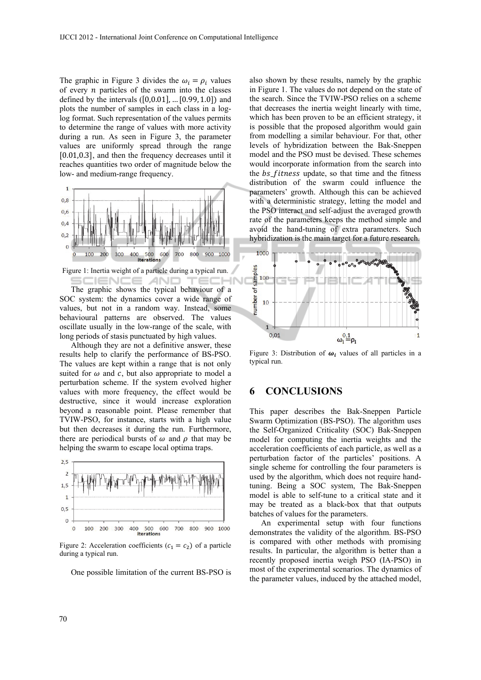The graphic in Figure 3 divides the  $\omega_i = \rho_i$  values of every  $n$  particles of the swarm into the classes defined by the intervals  $( [0, 0.01], \dots [0.99, 1.0])$  and plots the number of samples in each class in a loglog format. Such representation of the values permits to determine the range of values with more activity during a run. As seen in Figure 3, the parameter values are uniformly spread through the range  $[0.01, 0.3]$ , and then the frequency decreases until it reaches quantities two order of magnitude below the low- and medium-range frequency.



Figure 1: Inertia weight of a particle during a typical run. **AND** :IENCE

The graphic shows the typical behaviour of a SOC system: the dynamics cover a wide range of values, but not in a random way. Instead, some behavioural patterns are observed. The values oscillate usually in the low-range of the scale, with long periods of stasis punctuated by high values.

Although they are not a definitive answer, these results help to clarify the performance of BS-PSO. The values are kept within a range that is not only suited for  $\omega$  and c, but also appropriate to model a perturbation scheme. If the system evolved higher values with more frequency, the effect would be destructive, since it would increase exploration beyond a reasonable point. Please remember that TVIW-PSO, for instance, starts with a high value but then decreases it during the run. Furthermore, there are periodical bursts of  $\omega$  and  $\rho$  that may be helping the swarm to escape local optima traps.



Figure 2: Acceleration coefficients  $(c_1 = c_2)$  of a particle during a typical run.

One possible limitation of the current BS-PSO is

also shown by these results, namely by the graphic in Figure 1. The values do not depend on the state of the search. Since the TVIW-PSO relies on a scheme that decreases the inertia weight linearly with time, which has been proven to be an efficient strategy, it is possible that the proposed algorithm would gain from modelling a similar behaviour. For that, other levels of hybridization between the Bak-Sneppen model and the PSO must be devised. These schemes would incorporate information from the search into the *bs\_fitness* update, so that time and the fitness distribution of the swarm could influence the parameters' growth. Although this can be achieved with a deterministic strategy, letting the model and the PSO interact and self-adjust the averaged growth rate of the parameters keeps the method simple and avoid the hand-tuning of extra parameters. Such hybridization is the main target for a future research.



Figure 3: Distribution of  $\omega_i$  values of all particles in a typical run.

## **6 CONCLUSIONS**

This paper describes the Bak-Sneppen Particle Swarm Optimization (BS-PSO). The algorithm uses the Self-Organized Criticality (SOC) Bak-Sneppen model for computing the inertia weights and the acceleration coefficients of each particle, as well as a perturbation factor of the particles' positions. A single scheme for controlling the four parameters is used by the algorithm, which does not require handtuning. Being a SOC system, The Bak-Sneppen model is able to self-tune to a critical state and it may be treated as a black-box that that outputs batches of values for the parameters.

An experimental setup with four functions demonstrates the validity of the algorithm. BS-PSO is compared with other methods with promising results. In particular, the algorithm is better than a recently proposed inertia weigh PSO (IA-PSO) in most of the experimental scenarios. The dynamics of the parameter values, induced by the attached model,